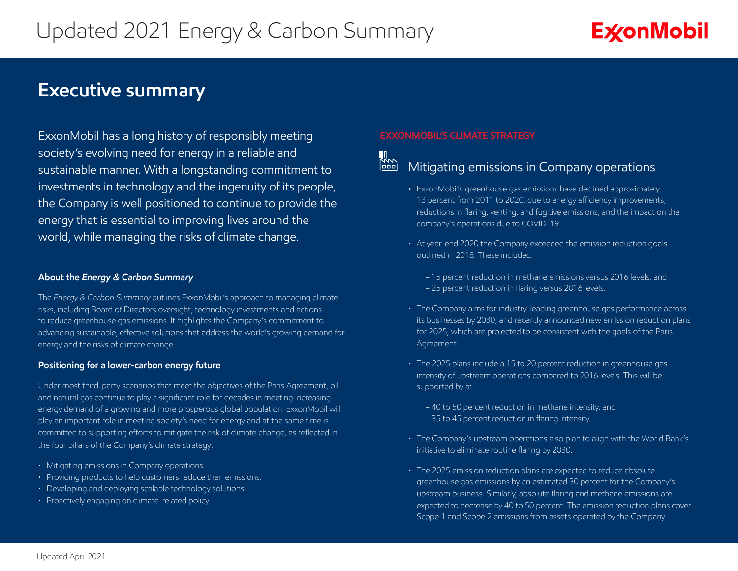# **Exconmobil**

# **Executive summary**

ExxonMobil has a long history of responsibly meeting society's evolving need for energy in a reliable and sustainable manner. With a longstanding commitment to investments in technology and the ingenuity of its people, the Company is well positioned to continue to provide the energy that is essential to improving lives around the world, while managing the risks of climate change.

### **About the** *Energy & Carbon Summary*

The *Energy & Carbon Summary* outlines ExxonMobil's approach to managing climate risks, including Board of Directors oversight, technology investments and actions to reduce greenhouse gas emissions. It highlights the Company's commitment to advancing sustainable, effective solutions that address the world's growing demand for energy and the risks of climate change.

## **Positioning for a lower-carbon energy future**

Under most third-party scenarios that meet the objectives of the Paris Agreement, oil and natural gas continue to play a significant role for decades in meeting increasing energy demand of a growing and more prosperous global population. ExxonMobil will play an important role in meeting society's need for energy and at the same time is committed to supporting efforts to mitigate the risk of climate change, as reflected in the four pillars of the Company's climate strategy:

- Mitigating emissions in Company operations.
- Providing products to help customers reduce their emissions.
- Developing and deploying scalable technology solutions.
- Proactively engaging on climate-related policy.

## **EXXONMOBIL'S CLIMATE STRATEGY**



# **Mither Company operations**<br><u>In Mitigating</u> emissions in Company operations

- ExxonMobil's greenhouse gas emissions have declined approximately 13 percent from 2011 to 2020, due to energy efficiency improvements; reductions in flaring, venting, and fugitive emissions; and the impact on the company's operations due to COVID-19.
- At year-end 2020 the Company exceeded the emission reduction goals outlined in 2018. These included:
	- 15 percent reduction in methane emissions versus 2016 levels, and – 25 percent reduction in flaring versus 2016 levels.
- The Company aims for industry-leading greenhouse gas performance across its businesses by 2030, and recently announced new emission reduction plans for 2025, which are projected to be consistent with the goals of the Paris Agreement.
- The 2025 plans include a 15 to 20 percent reduction in greenhouse gas intensity of upstream operations compared to 2016 levels. This will be supported by a:
	- 40 to 50 percent reduction in methane intensity, and
	- 35 to 45 percent reduction in flaring intensity.
- The Company's upstream operations also plan to align with the World Bank's initiative to eliminate routine flaring by 2030.
- The 2025 emission reduction plans are expected to reduce absolute greenhouse gas emissions by an estimated 30 percent for the Company's upstream business. Similarly, absolute flaring and methane emissions are expected to decrease by 40 to 50 percent. The emission reduction plans cover Scope 1 and Scope 2 emissions from assets operated by the Company.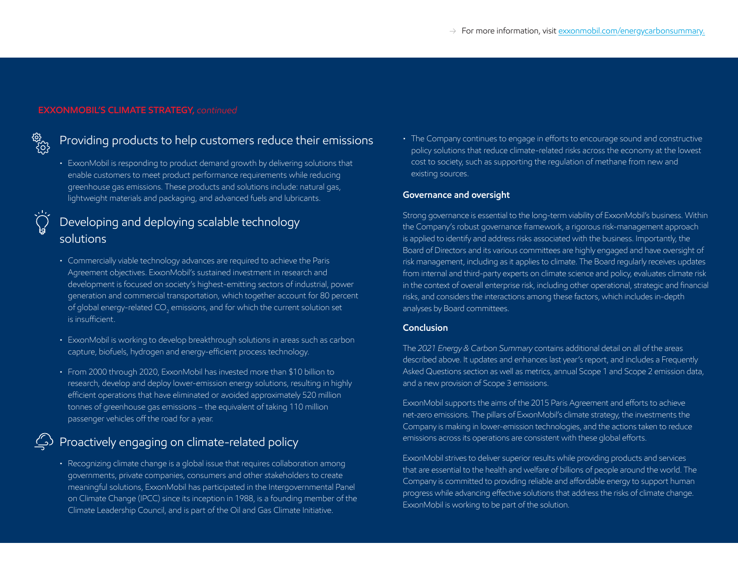## **EXXONMOBIL'S CLIMATE STRATEGY,** *continued*



# Providing products to help customers reduce their emissions

• ExxonMobil is responding to product demand growth by delivering solutions that enable customers to meet product performance requirements while reducing greenhouse gas emissions. These products and solutions include: natural gas, lightweight materials and packaging, and advanced fuels and lubricants.

# Developing and deploying scalable technology solutions

- Commercially viable technology advances are required to achieve the Paris Agreement objectives. ExxonMobil's sustained investment in research and development is focused on society's highest-emitting sectors of industrial, power generation and commercial transportation, which together account for 80 percent of global energy-related CO<sub>2</sub> emissions, and for which the current solution set is insufficient.
- ExxonMobil is working to develop breakthrough solutions in areas such as carbon capture, biofuels, hydrogen and energy-efficient process technology.
- From 2000 through 2020, ExxonMobil has invested more than \$10 billion to research, develop and deploy lower-emission energy solutions, resulting in highly efficient operations that have eliminated or avoided approximately 520 million tonnes of greenhouse gas emissions – the equivalent of taking 110 million passenger vehicles off the road for a year.

# $\hat{\subseteq}$  Proactively engaging on climate-related policy

• Recognizing climate change is a global issue that requires collaboration among governments, private companies, consumers and other stakeholders to create meaningful solutions, ExxonMobil has participated in the Intergovernmental Panel on Climate Change (IPCC) since its inception in 1988, is a founding member of the Climate Leadership Council, and is part of the Oil and Gas Climate Initiative.

• The Company continues to engage in efforts to encourage sound and constructive policy solutions that reduce climate-related risks across the economy at the lowest cost to society, such as supporting the regulation of methane from new and existing sources.

#### **Governance and oversight**

Strong governance is essential to the long-term viability of ExxonMobil's business. Within the Company's robust governance framework, a rigorous risk-management approach is applied to identify and address risks associated with the business. Importantly, the Board of Directors and its various committees are highly engaged and have oversight of risk management, including as it applies to climate. The Board regularly receives updates from internal and third-party experts on climate science and policy, evaluates climate risk in the context of overall enterprise risk, including other operational, strategic and financial risks, and considers the interactions among these factors, which includes in-depth analyses by Board committees.

#### **Conclusion**

The *2021 Energy & Carbon Summary* contains additional detail on all of the areas described above. It updates and enhances last year's report, and includes a Frequently Asked Questions section as well as metrics, annual Scope 1 and Scope 2 emission data, and a new provision of Scope 3 emissions.

ExxonMobil supports the aims of the 2015 Paris Agreement and efforts to achieve net-zero emissions. The pillars of ExxonMobil's climate strategy, the investments the Company is making in lower-emission technologies, and the actions taken to reduce emissions across its operations are consistent with these global efforts.

ExxonMobil strives to deliver superior results while providing products and services that are essential to the health and welfare of billions of people around the world. The Company is committed to providing reliable and affordable energy to support human progress while advancing effective solutions that address the risks of climate change. ExxonMobil is working to be part of the solution.